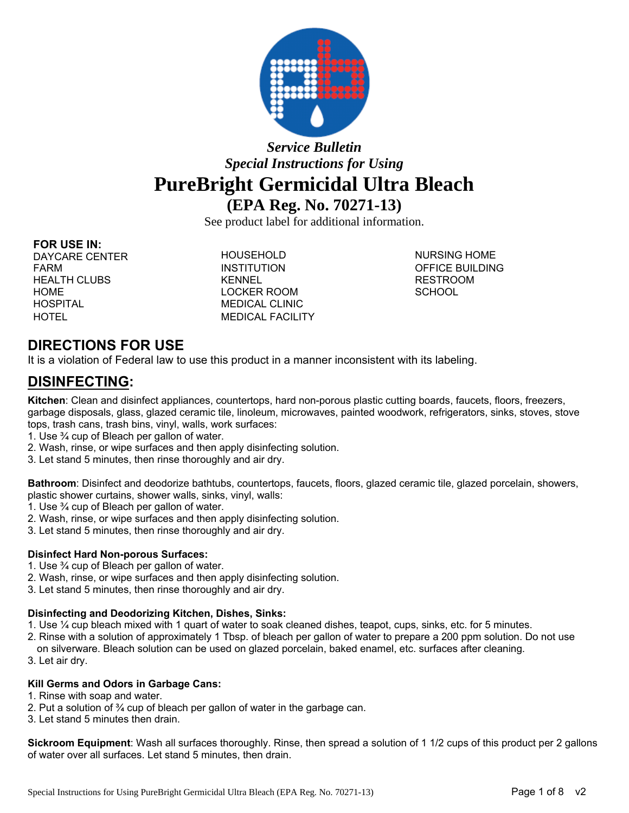

# *Service Bulletin Special Instructions for Using*  **PureBright Germicidal Ultra Bleach (EPA Reg. No. 70271-13)**

See product label for additional information.

### **FOR USE IN:**

DAYCARE CENTER HOUSEHOLD NURSING HOME FARM **INSTITUTION** INSTITUTION OFFICE BUILDING HEALTH CLUBS **KENNEL KENNEL RESTROOM** HOME LOCKER ROOM SCHOOL HOSPITAL MEDICAL CLINIC HOTEL MEDICAL FACILITY

## **DIRECTIONS FOR USE**

It is a violation of Federal law to use this product in a manner inconsistent with its labeling.

## **DISINFECTING:**

**Kitchen**: Clean and disinfect appliances, countertops, hard non-porous plastic cutting boards, faucets, floors, freezers, garbage disposals, glass, glazed ceramic tile, linoleum, microwaves, painted woodwork, refrigerators, sinks, stoves, stove tops, trash cans, trash bins, vinyl, walls, work surfaces:

- 1. Use ¾ cup of Bleach per gallon of water.
- 2. Wash, rinse, or wipe surfaces and then apply disinfecting solution.
- 3. Let stand 5 minutes, then rinse thoroughly and air dry.

**Bathroom**: Disinfect and deodorize bathtubs, countertops, faucets, floors, glazed ceramic tile, glazed porcelain, showers, plastic shower curtains, shower walls, sinks, vinyl, walls:

- 1. Use ¾ cup of Bleach per gallon of water.
- 2. Wash, rinse, or wipe surfaces and then apply disinfecting solution.
- 3. Let stand 5 minutes, then rinse thoroughly and air dry.

### **Disinfect Hard Non-porous Surfaces:**

- 1. Use ¾ cup of Bleach per gallon of water.
- 2. Wash, rinse, or wipe surfaces and then apply disinfecting solution.
- 3. Let stand 5 minutes, then rinse thoroughly and air dry.

#### **Disinfecting and Deodorizing Kitchen, Dishes, Sinks:**

- 1. Use ¼ cup bleach mixed with 1 quart of water to soak cleaned dishes, teapot, cups, sinks, etc. for 5 minutes.
- 2. Rinse with a solution of approximately 1 Tbsp. of bleach per gallon of water to prepare a 200 ppm solution. Do not use on silverware. Bleach solution can be used on glazed porcelain, baked enamel, etc. surfaces after cleaning.
- 3. Let air dry.

### **Kill Germs and Odors in Garbage Cans:**

- 1. Rinse with soap and water.
- 2. Put a solution of ¾ cup of bleach per gallon of water in the garbage can.
- 3. Let stand 5 minutes then drain.

**Sickroom Equipment**: Wash all surfaces thoroughly. Rinse, then spread a solution of 1 1/2 cups of this product per 2 gallons of water over all surfaces. Let stand 5 minutes, then drain.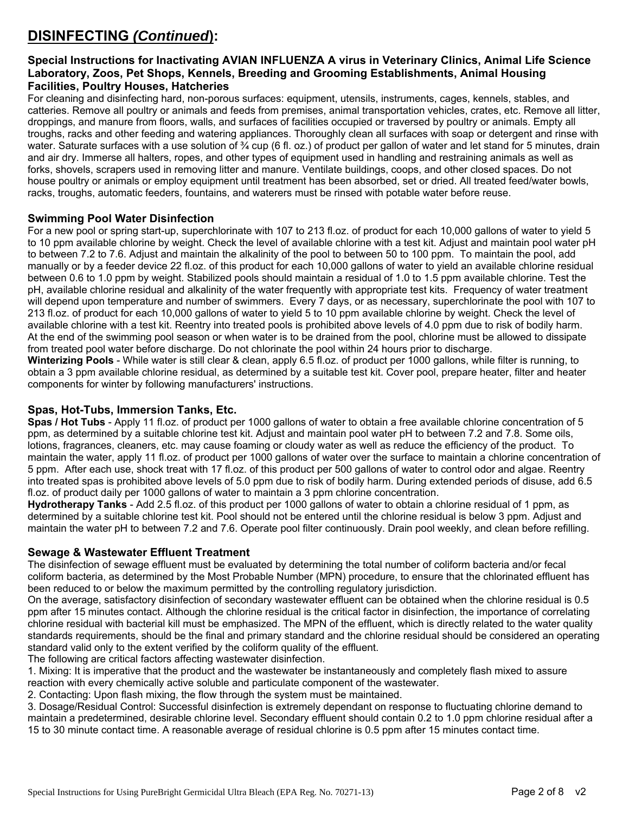# **DISINFECTING** *(Continued***):**

## **Special Instructions for Inactivating AVIAN INFLUENZA A virus in Veterinary Clinics, Animal Life Science Laboratory, Zoos, Pet Shops, Kennels, Breeding and Grooming Establishments, Animal Housing Facilities, Poultry Houses, Hatcheries**

For cleaning and disinfecting hard, non-porous surfaces: equipment, utensils, instruments, cages, kennels, stables, and catteries. Remove all poultry or animals and feeds from premises, animal transportation vehicles, crates, etc. Remove all litter, droppings, and manure from floors, walls, and surfaces of facilities occupied or traversed by poultry or animals. Empty all troughs, racks and other feeding and watering appliances. Thoroughly clean all surfaces with soap or detergent and rinse with water. Saturate surfaces with a use solution of  $\frac{3}{4}$  cup (6 fl. oz.) of product per gallon of water and let stand for 5 minutes, drain and air dry. Immerse all halters, ropes, and other types of equipment used in handling and restraining animals as well as forks, shovels, scrapers used in removing litter and manure. Ventilate buildings, coops, and other closed spaces. Do not house poultry or animals or employ equipment until treatment has been absorbed, set or dried. All treated feed/water bowls, racks, troughs, automatic feeders, fountains, and waterers must be rinsed with potable water before reuse.

## **Swimming Pool Water Disinfection**

For a new pool or spring start-up, superchlorinate with 107 to 213 fl.oz. of product for each 10,000 gallons of water to yield 5 to 10 ppm available chlorine by weight. Check the level of available chlorine with a test kit. Adjust and maintain pool water pH to between 7.2 to 7.6. Adjust and maintain the alkalinity of the pool to between 50 to 100 ppm. To maintain the pool, add manually or by a feeder device 22 fl.oz. of this product for each 10,000 gallons of water to yield an available chlorine residual between 0.6 to 1.0 ppm by weight. Stabilized pools should maintain a residual of 1.0 to 1.5 ppm available chlorine. Test the pH, available chlorine residual and alkalinity of the water frequently with appropriate test kits. Frequency of water treatment will depend upon temperature and number of swimmers. Every 7 days, or as necessary, superchlorinate the pool with 107 to 213 fl.oz. of product for each 10,000 gallons of water to yield 5 to 10 ppm available chlorine by weight. Check the level of available chlorine with a test kit. Reentry into treated pools is prohibited above levels of 4.0 ppm due to risk of bodily harm. At the end of the swimming pool season or when water is to be drained from the pool, chlorine must be allowed to dissipate from treated pool water before discharge. Do not chlorinate the pool within 24 hours prior to discharge.

**Winterizing Pools** - While water is still clear & clean, apply 6.5 fl.oz. of product per 1000 gallons, while filter is running, to obtain a 3 ppm available chlorine residual, as determined by a suitable test kit. Cover pool, prepare heater, filter and heater components for winter by following manufacturers' instructions.

### **Spas, Hot-Tubs, Immersion Tanks, Etc.**

**Spas / Hot Tubs** - Apply 11 fl.oz. of product per 1000 gallons of water to obtain a free available chlorine concentration of 5 ppm, as determined by a suitable chlorine test kit. Adjust and maintain pool water pH to between 7.2 and 7.8. Some oils, lotions, fragrances, cleaners, etc. may cause foaming or cloudy water as well as reduce the efficiency of the product. To maintain the water, apply 11 fl.oz. of product per 1000 gallons of water over the surface to maintain a chlorine concentration of 5 ppm. After each use, shock treat with 17 fl.oz. of this product per 500 gallons of water to control odor and algae. Reentry into treated spas is prohibited above levels of 5.0 ppm due to risk of bodily harm. During extended periods of disuse, add 6.5 fl.oz. of product daily per 1000 gallons of water to maintain a 3 ppm chlorine concentration.

**Hydrotherapy Tanks** - Add 2.5 fl.oz. of this product per 1000 gallons of water to obtain a chlorine residual of 1 ppm, as determined by a suitable chlorine test kit. Pool should not be entered until the chlorine residual is below 3 ppm. Adjust and maintain the water pH to between 7.2 and 7.6. Operate pool filter continuously. Drain pool weekly, and clean before refilling.

## **Sewage & Wastewater Effluent Treatment**

The disinfection of sewage effluent must be evaluated by determining the total number of coliform bacteria and/or fecal coliform bacteria, as determined by the Most Probable Number (MPN) procedure, to ensure that the chlorinated effluent has been reduced to or below the maximum permitted by the controlling regulatory jurisdiction.

On the average, satisfactory disinfection of secondary wastewater effluent can be obtained when the chlorine residual is 0.5 ppm after 15 minutes contact. Although the chlorine residual is the critical factor in disinfection, the importance of correlating chlorine residual with bacterial kill must be emphasized. The MPN of the effluent, which is directly related to the water quality standards requirements, should be the final and primary standard and the chlorine residual should be considered an operating standard valid only to the extent verified by the coliform quality of the effluent.

The following are critical factors affecting wastewater disinfection.

1. Mixing: It is imperative that the product and the wastewater be instantaneously and completely flash mixed to assure reaction with every chemically active soluble and particulate component of the wastewater.

2. Contacting: Upon flash mixing, the flow through the system must be maintained.

3. Dosage/Residual Control: Successful disinfection is extremely dependant on response to fluctuating chlorine demand to maintain a predetermined, desirable chlorine level. Secondary effluent should contain 0.2 to 1.0 ppm chlorine residual after a 15 to 30 minute contact time. A reasonable average of residual chlorine is 0.5 ppm after 15 minutes contact time.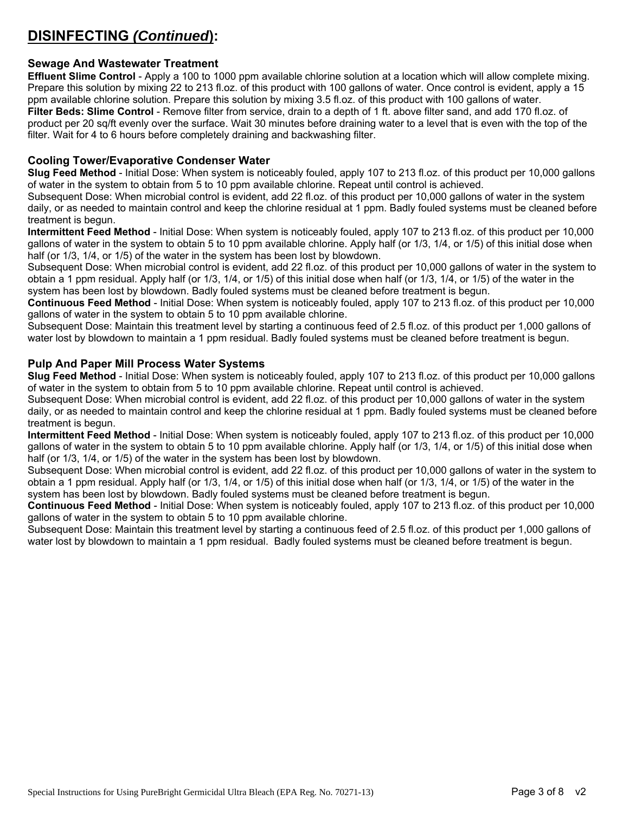## **DISINFECTING** *(Continued***):**

## **Sewage And Wastewater Treatment**

**Effluent Slime Control** - Apply a 100 to 1000 ppm available chlorine solution at a location which will allow complete mixing. Prepare this solution by mixing 22 to 213 fl.oz. of this product with 100 gallons of water. Once control is evident, apply a 15 ppm available chlorine solution. Prepare this solution by mixing 3.5 fl.oz. of this product with 100 gallons of water. **Filter Beds: Slime Control** - Remove filter from service, drain to a depth of 1 ft. above filter sand, and add 170 fl.oz. of product per 20 sq/ft evenly over the surface. Wait 30 minutes before draining water to a level that is even with the top of the filter. Wait for 4 to 6 hours before completely draining and backwashing filter.

#### **Cooling Tower/Evaporative Condenser Water**

**Slug Feed Method** - Initial Dose: When system is noticeably fouled, apply 107 to 213 fl.oz. of this product per 10,000 gallons of water in the system to obtain from 5 to 10 ppm available chlorine. Repeat until control is achieved.

Subsequent Dose: When microbial control is evident, add 22 fl.oz. of this product per 10,000 gallons of water in the system daily, or as needed to maintain control and keep the chlorine residual at 1 ppm. Badly fouled systems must be cleaned before treatment is begun.

**Intermittent Feed Method** - Initial Dose: When system is noticeably fouled, apply 107 to 213 fl.oz. of this product per 10,000 gallons of water in the system to obtain 5 to 10 ppm available chlorine. Apply half (or 1/3, 1/4, or 1/5) of this initial dose when half (or 1/3, 1/4, or 1/5) of the water in the system has been lost by blowdown.

Subsequent Dose: When microbial control is evident, add 22 fl.oz. of this product per 10,000 gallons of water in the system to obtain a 1 ppm residual. Apply half (or 1/3, 1/4, or 1/5) of this initial dose when half (or 1/3, 1/4, or 1/5) of the water in the system has been lost by blowdown. Badly fouled systems must be cleaned before treatment is begun.

**Continuous Feed Method** - Initial Dose: When system is noticeably fouled, apply 107 to 213 fl.oz. of this product per 10,000 gallons of water in the system to obtain 5 to 10 ppm available chlorine.

Subsequent Dose: Maintain this treatment level by starting a continuous feed of 2.5 fl.oz. of this product per 1,000 gallons of water lost by blowdown to maintain a 1 ppm residual. Badly fouled systems must be cleaned before treatment is begun.

### **Pulp And Paper Mill Process Water Systems**

**Slug Feed Method** - Initial Dose: When system is noticeably fouled, apply 107 to 213 fl.oz. of this product per 10,000 gallons of water in the system to obtain from 5 to 10 ppm available chlorine. Repeat until control is achieved.

Subsequent Dose: When microbial control is evident, add 22 fl.oz. of this product per 10,000 gallons of water in the system daily, or as needed to maintain control and keep the chlorine residual at 1 ppm. Badly fouled systems must be cleaned before treatment is begun.

**Intermittent Feed Method** - Initial Dose: When system is noticeably fouled, apply 107 to 213 fl.oz. of this product per 10,000 gallons of water in the system to obtain 5 to 10 ppm available chlorine. Apply half (or 1/3, 1/4, or 1/5) of this initial dose when half (or 1/3, 1/4, or 1/5) of the water in the system has been lost by blowdown.

Subsequent Dose: When microbial control is evident, add 22 fl.oz. of this product per 10,000 gallons of water in the system to obtain a 1 ppm residual. Apply half (or 1/3, 1/4, or 1/5) of this initial dose when half (or 1/3, 1/4, or 1/5) of the water in the system has been lost by blowdown. Badly fouled systems must be cleaned before treatment is begun.

**Continuous Feed Method** - Initial Dose: When system is noticeably fouled, apply 107 to 213 fl.oz. of this product per 10,000 gallons of water in the system to obtain 5 to 10 ppm available chlorine.

Subsequent Dose: Maintain this treatment level by starting a continuous feed of 2.5 fl.oz. of this product per 1,000 gallons of water lost by blowdown to maintain a 1 ppm residual. Badly fouled systems must be cleaned before treatment is begun.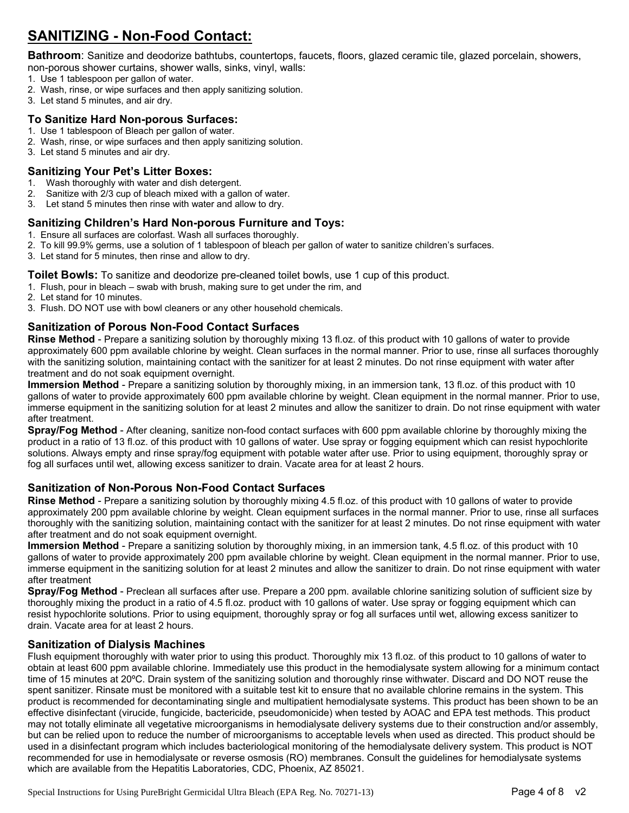# **SANITIZING - Non-Food Contact:**

**Bathroom**: Sanitize and deodorize bathtubs, countertops, faucets, floors, glazed ceramic tile, glazed porcelain, showers,

non-porous shower curtains, shower walls, sinks, vinyl, walls:

- 1. Use 1 tablespoon per gallon of water.
- 2. Wash, rinse, or wipe surfaces and then apply sanitizing solution.
- 3. Let stand 5 minutes, and air dry.

#### **To Sanitize Hard Non-porous Surfaces:**

- 1. Use 1 tablespoon of Bleach per gallon of water.
- 2. Wash, rinse, or wipe surfaces and then apply sanitizing solution.
- 3. Let stand 5 minutes and air dry.

### **Sanitizing Your Pet's Litter Boxes:**

- 1. Wash thoroughly with water and dish detergent.
- 2. Sanitize with 2/3 cup of bleach mixed with a gallon of water.
- 3. Let stand 5 minutes then rinse with water and allow to dry.

## **Sanitizing Children's Hard Non-porous Furniture and Toys:**

- 1. Ensure all surfaces are colorfast. Wash all surfaces thoroughly.
- 2. To kill 99.9% germs, use a solution of 1 tablespoon of bleach per gallon of water to sanitize children's surfaces.
- 3. Let stand for 5 minutes, then rinse and allow to dry.

#### **Toilet Bowls:** To sanitize and deodorize pre-cleaned toilet bowls, use 1 cup of this product.

- 1. Flush, pour in bleach swab with brush, making sure to get under the rim, and
- 2. Let stand for 10 minutes.
- 3. Flush. DO NOT use with bowl cleaners or any other household chemicals.

## **Sanitization of Porous Non-Food Contact Surfaces**

**Rinse Method** - Prepare a sanitizing solution by thoroughly mixing 13 fl.oz. of this product with 10 gallons of water to provide approximately 600 ppm available chlorine by weight. Clean surfaces in the normal manner. Prior to use, rinse all surfaces thoroughly with the sanitizing solution, maintaining contact with the sanitizer for at least 2 minutes. Do not rinse equipment with water after treatment and do not soak equipment overnight.

**Immersion Method** - Prepare a sanitizing solution by thoroughly mixing, in an immersion tank, 13 fl.oz. of this product with 10 gallons of water to provide approximately 600 ppm available chlorine by weight. Clean equipment in the normal manner. Prior to use, immerse equipment in the sanitizing solution for at least 2 minutes and allow the sanitizer to drain. Do not rinse equipment with water after treatment.

**Spray/Fog Method** - After cleaning, sanitize non-food contact surfaces with 600 ppm available chlorine by thoroughly mixing the product in a ratio of 13 fl.oz. of this product with 10 gallons of water. Use spray or fogging equipment which can resist hypochlorite solutions. Always empty and rinse spray/fog equipment with potable water after use. Prior to using equipment, thoroughly spray or fog all surfaces until wet, allowing excess sanitizer to drain. Vacate area for at least 2 hours.

### **Sanitization of Non-Porous Non-Food Contact Surfaces**

**Rinse Method** - Prepare a sanitizing solution by thoroughly mixing 4.5 fl.oz. of this product with 10 gallons of water to provide approximately 200 ppm available chlorine by weight. Clean equipment surfaces in the normal manner. Prior to use, rinse all surfaces thoroughly with the sanitizing solution, maintaining contact with the sanitizer for at least 2 minutes. Do not rinse equipment with water after treatment and do not soak equipment overnight.

**Immersion Method** - Prepare a sanitizing solution by thoroughly mixing, in an immersion tank, 4.5 fl.oz. of this product with 10 gallons of water to provide approximately 200 ppm available chlorine by weight. Clean equipment in the normal manner. Prior to use, immerse equipment in the sanitizing solution for at least 2 minutes and allow the sanitizer to drain. Do not rinse equipment with water after treatment

**Spray/Fog Method** - Preclean all surfaces after use. Prepare a 200 ppm. available chlorine sanitizing solution of sufficient size by thoroughly mixing the product in a ratio of 4.5 fl.oz. product with 10 gallons of water. Use spray or fogging equipment which can resist hypochlorite solutions. Prior to using equipment, thoroughly spray or fog all surfaces until wet, allowing excess sanitizer to drain. Vacate area for at least 2 hours.

### **Sanitization of Dialysis Machines**

Flush equipment thoroughly with water prior to using this product. Thoroughly mix 13 fl.oz. of this product to 10 gallons of water to obtain at least 600 ppm available chlorine. Immediately use this product in the hemodialysate system allowing for a minimum contact time of 15 minutes at 20ºC. Drain system of the sanitizing solution and thoroughly rinse withwater. Discard and DO NOT reuse the spent sanitizer. Rinsate must be monitored with a suitable test kit to ensure that no available chlorine remains in the system. This product is recommended for decontaminating single and multipatient hemodialysate systems. This product has been shown to be an effective disinfectant (virucide, fungicide, bactericide, pseudomonicide) when tested by AOAC and EPA test methods. This product may not totally eliminate all vegetative microorganisms in hemodialysate delivery systems due to their construction and/or assembly, but can be relied upon to reduce the number of microorganisms to acceptable levels when used as directed. This product should be used in a disinfectant program which includes bacteriological monitoring of the hemodialysate delivery system. This product is NOT recommended for use in hemodialysate or reverse osmosis (RO) membranes. Consult the guidelines for hemodialysate systems which are available from the Hepatitis Laboratories, CDC, Phoenix, AZ 85021.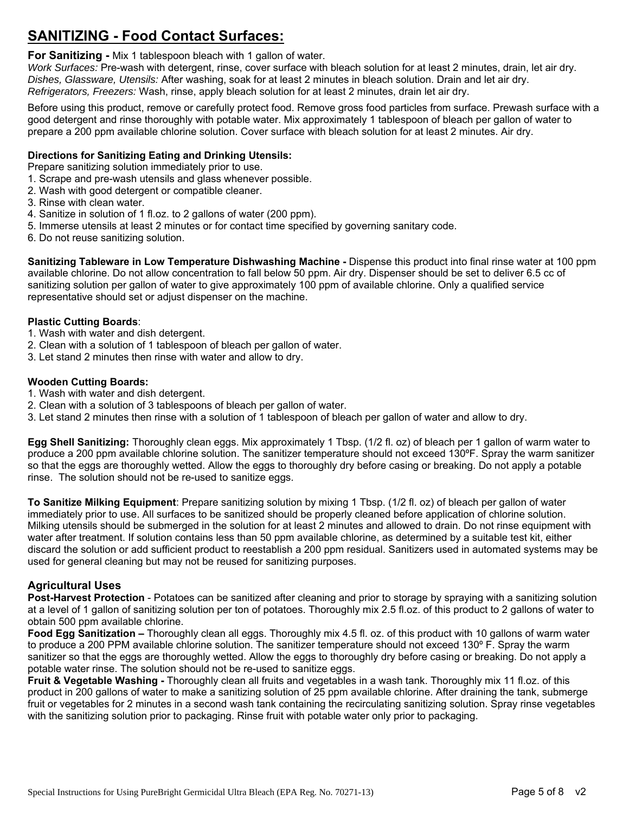## **SANITIZING - Food Contact Surfaces:**

**For Sanitizing -** Mix 1 tablespoon bleach with 1 gallon of water.

*Work Surfaces:* Pre-wash with detergent, rinse, cover surface with bleach solution for at least 2 minutes, drain, let air dry. *Dishes, Glassware, Utensils:* After washing, soak for at least 2 minutes in bleach solution. Drain and let air dry. *Refrigerators, Freezers:* Wash, rinse, apply bleach solution for at least 2 minutes, drain let air dry.

Before using this product, remove or carefully protect food. Remove gross food particles from surface. Prewash surface with a good detergent and rinse thoroughly with potable water. Mix approximately 1 tablespoon of bleach per gallon of water to prepare a 200 ppm available chlorine solution. Cover surface with bleach solution for at least 2 minutes. Air dry.

### **Directions for Sanitizing Eating and Drinking Utensils:**

Prepare sanitizing solution immediately prior to use.

- 1. Scrape and pre-wash utensils and glass whenever possible.
- 2. Wash with good detergent or compatible cleaner.
- 3. Rinse with clean water.
- 4. Sanitize in solution of 1 fl.oz. to 2 gallons of water (200 ppm).
- 5. Immerse utensils at least 2 minutes or for contact time specified by governing sanitary code.
- 6. Do not reuse sanitizing solution.

**Sanitizing Tableware in Low Temperature Dishwashing Machine -** Dispense this product into final rinse water at 100 ppm available chlorine. Do not allow concentration to fall below 50 ppm. Air dry. Dispenser should be set to deliver 6.5 cc of sanitizing solution per gallon of water to give approximately 100 ppm of available chlorine. Only a qualified service representative should set or adjust dispenser on the machine.

#### **Plastic Cutting Boards**:

- 1. Wash with water and dish detergent.
- 2. Clean with a solution of 1 tablespoon of bleach per gallon of water.
- 3. Let stand 2 minutes then rinse with water and allow to dry.

#### **Wooden Cutting Boards:**

- 1. Wash with water and dish detergent.
- 2. Clean with a solution of 3 tablespoons of bleach per gallon of water.
- 3. Let stand 2 minutes then rinse with a solution of 1 tablespoon of bleach per gallon of water and allow to dry.

**Egg Shell Sanitizing:** Thoroughly clean eggs. Mix approximately 1 Tbsp. (1/2 fl. oz) of bleach per 1 gallon of warm water to produce a 200 ppm available chlorine solution. The sanitizer temperature should not exceed 130ºF. Spray the warm sanitizer so that the eggs are thoroughly wetted. Allow the eggs to thoroughly dry before casing or breaking. Do not apply a potable rinse. The solution should not be re-used to sanitize eggs.

**To Sanitize Milking Equipment**: Prepare sanitizing solution by mixing 1 Tbsp. (1/2 fl. oz) of bleach per gallon of water immediately prior to use. All surfaces to be sanitized should be properly cleaned before application of chlorine solution. Milking utensils should be submerged in the solution for at least 2 minutes and allowed to drain. Do not rinse equipment with water after treatment. If solution contains less than 50 ppm available chlorine, as determined by a suitable test kit, either discard the solution or add sufficient product to reestablish a 200 ppm residual. Sanitizers used in automated systems may be used for general cleaning but may not be reused for sanitizing purposes.

### **Agricultural Uses**

**Post-Harvest Protection** - Potatoes can be sanitized after cleaning and prior to storage by spraying with a sanitizing solution at a level of 1 gallon of sanitizing solution per ton of potatoes. Thoroughly mix 2.5 fl.oz. of this product to 2 gallons of water to obtain 500 ppm available chlorine.

**Food Egg Sanitization –** Thoroughly clean all eggs. Thoroughly mix 4.5 fl. oz. of this product with 10 gallons of warm water to produce a 200 PPM available chlorine solution. The sanitizer temperature should not exceed 130º F. Spray the warm sanitizer so that the eggs are thoroughly wetted. Allow the eggs to thoroughly dry before casing or breaking. Do not apply a potable water rinse. The solution should not be re-used to sanitize eggs.

**Fruit & Vegetable Washing - Thoroughly clean all fruits and vegetables in a wash tank. Thoroughly mix 11 fl.oz. of this** product in 200 gallons of water to make a sanitizing solution of 25 ppm available chlorine. After draining the tank, submerge fruit or vegetables for 2 minutes in a second wash tank containing the recirculating sanitizing solution. Spray rinse vegetables with the sanitizing solution prior to packaging. Rinse fruit with potable water only prior to packaging.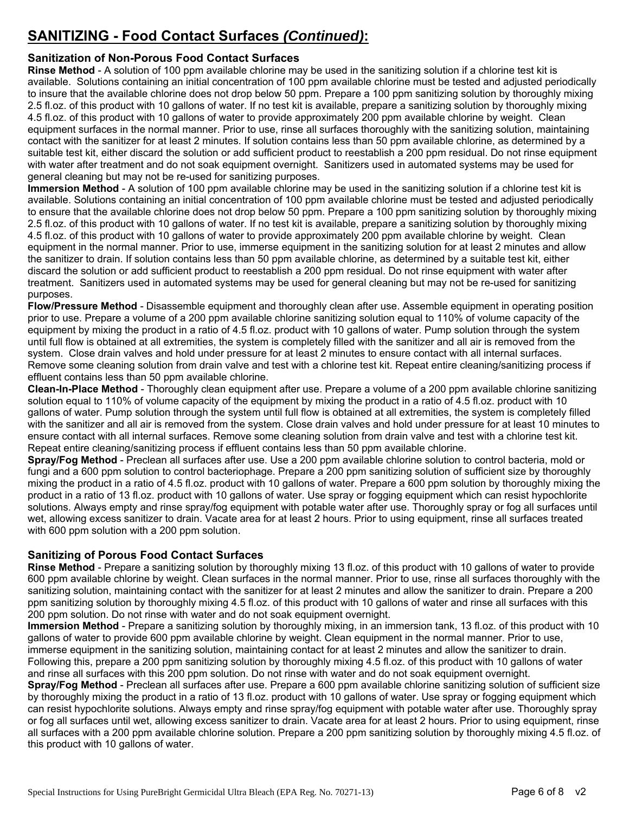# **SANITIZING - Food Contact Surfaces** *(Continued)***:**

## **Sanitization of Non-Porous Food Contact Surfaces**

**Rinse Method** - A solution of 100 ppm available chlorine may be used in the sanitizing solution if a chlorine test kit is available. Solutions containing an initial concentration of 100 ppm available chlorine must be tested and adjusted periodically to insure that the available chlorine does not drop below 50 ppm. Prepare a 100 ppm sanitizing solution by thoroughly mixing 2.5 fl.oz. of this product with 10 gallons of water. If no test kit is available, prepare a sanitizing solution by thoroughly mixing 4.5 fl.oz. of this product with 10 gallons of water to provide approximately 200 ppm available chlorine by weight. Clean equipment surfaces in the normal manner. Prior to use, rinse all surfaces thoroughly with the sanitizing solution, maintaining contact with the sanitizer for at least 2 minutes. If solution contains less than 50 ppm available chlorine, as determined by a suitable test kit, either discard the solution or add sufficient product to reestablish a 200 ppm residual. Do not rinse equipment with water after treatment and do not soak equipment overnight. Sanitizers used in automated systems may be used for general cleaning but may not be re-used for sanitizing purposes.

**Immersion Method** - A solution of 100 ppm available chlorine may be used in the sanitizing solution if a chlorine test kit is available. Solutions containing an initial concentration of 100 ppm available chlorine must be tested and adjusted periodically to ensure that the available chlorine does not drop below 50 ppm. Prepare a 100 ppm sanitizing solution by thoroughly mixing 2.5 fl.oz. of this product with 10 gallons of water. If no test kit is available, prepare a sanitizing solution by thoroughly mixing 4.5 fl.oz. of this product with 10 gallons of water to provide approximately 200 ppm available chlorine by weight. Clean equipment in the normal manner. Prior to use, immerse equipment in the sanitizing solution for at least 2 minutes and allow the sanitizer to drain. If solution contains less than 50 ppm available chlorine, as determined by a suitable test kit, either discard the solution or add sufficient product to reestablish a 200 ppm residual. Do not rinse equipment with water after treatment. Sanitizers used in automated systems may be used for general cleaning but may not be re-used for sanitizing purposes.

**Flow/Pressure Method** - Disassemble equipment and thoroughly clean after use. Assemble equipment in operating position prior to use. Prepare a volume of a 200 ppm available chlorine sanitizing solution equal to 110% of volume capacity of the equipment by mixing the product in a ratio of 4.5 fl.oz. product with 10 gallons of water. Pump solution through the system until full flow is obtained at all extremities, the system is completely filled with the sanitizer and all air is removed from the system. Close drain valves and hold under pressure for at least 2 minutes to ensure contact with all internal surfaces. Remove some cleaning solution from drain valve and test with a chlorine test kit. Repeat entire cleaning/sanitizing process if effluent contains less than 50 ppm available chlorine.

**Clean-In-Place Method** - Thoroughly clean equipment after use. Prepare a volume of a 200 ppm available chlorine sanitizing solution equal to 110% of volume capacity of the equipment by mixing the product in a ratio of 4.5 fl.oz. product with 10 gallons of water. Pump solution through the system until full flow is obtained at all extremities, the system is completely filled with the sanitizer and all air is removed from the system. Close drain valves and hold under pressure for at least 10 minutes to ensure contact with all internal surfaces. Remove some cleaning solution from drain valve and test with a chlorine test kit. Repeat entire cleaning/sanitizing process if effluent contains less than 50 ppm available chlorine.

**Spray/Fog Method** - Preclean all surfaces after use. Use a 200 ppm available chlorine solution to control bacteria, mold or fungi and a 600 ppm solution to control bacteriophage. Prepare a 200 ppm sanitizing solution of sufficient size by thoroughly mixing the product in a ratio of 4.5 fl.oz. product with 10 gallons of water. Prepare a 600 ppm solution by thoroughly mixing the product in a ratio of 13 fl.oz. product with 10 gallons of water. Use spray or fogging equipment which can resist hypochlorite solutions. Always empty and rinse spray/fog equipment with potable water after use. Thoroughly spray or fog all surfaces until wet, allowing excess sanitizer to drain. Vacate area for at least 2 hours. Prior to using equipment, rinse all surfaces treated with 600 ppm solution with a 200 ppm solution.

## **Sanitizing of Porous Food Contact Surfaces**

**Rinse Method** - Prepare a sanitizing solution by thoroughly mixing 13 fl.oz. of this product with 10 gallons of water to provide 600 ppm available chlorine by weight. Clean surfaces in the normal manner. Prior to use, rinse all surfaces thoroughly with the sanitizing solution, maintaining contact with the sanitizer for at least 2 minutes and allow the sanitizer to drain. Prepare a 200 ppm sanitizing solution by thoroughly mixing 4.5 fl.oz. of this product with 10 gallons of water and rinse all surfaces with this 200 ppm solution. Do not rinse with water and do not soak equipment overnight.

**Immersion Method** - Prepare a sanitizing solution by thoroughly mixing, in an immersion tank, 13 fl.oz. of this product with 10 gallons of water to provide 600 ppm available chlorine by weight. Clean equipment in the normal manner. Prior to use, immerse equipment in the sanitizing solution, maintaining contact for at least 2 minutes and allow the sanitizer to drain. Following this, prepare a 200 ppm sanitizing solution by thoroughly mixing 4.5 fl.oz. of this product with 10 gallons of water and rinse all surfaces with this 200 ppm solution. Do not rinse with water and do not soak equipment overnight.

**Spray/Fog Method** - Preclean all surfaces after use. Prepare a 600 ppm available chlorine sanitizing solution of sufficient size by thoroughly mixing the product in a ratio of 13 fl.oz. product with 10 gallons of water. Use spray or fogging equipment which can resist hypochlorite solutions. Always empty and rinse spray/fog equipment with potable water after use. Thoroughly spray or fog all surfaces until wet, allowing excess sanitizer to drain. Vacate area for at least 2 hours. Prior to using equipment, rinse all surfaces with a 200 ppm available chlorine solution. Prepare a 200 ppm sanitizing solution by thoroughly mixing 4.5 fl.oz. of this product with 10 gallons of water.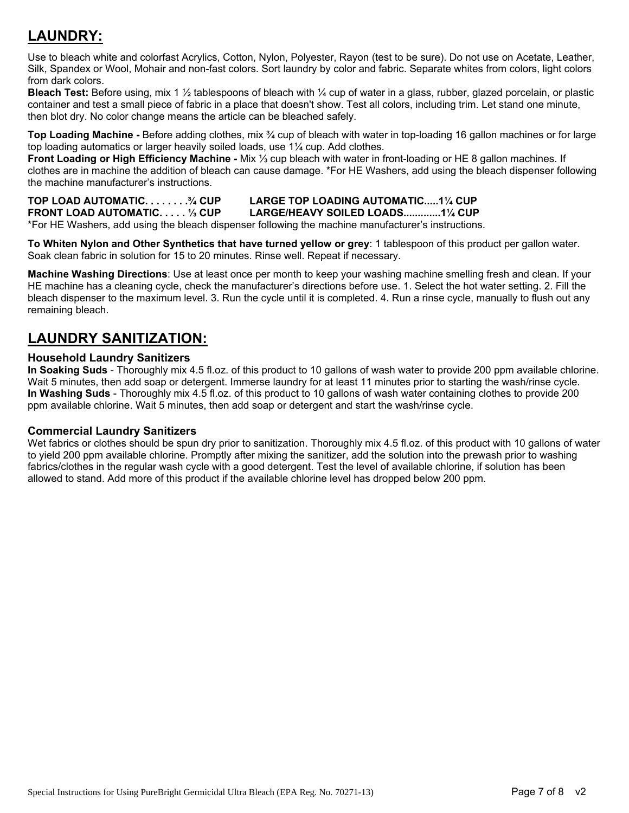# **LAUNDRY:**

Use to bleach white and colorfast Acrylics, Cotton, Nylon, Polyester, Rayon (test to be sure). Do not use on Acetate, Leather, Silk, Spandex or Wool, Mohair and non-fast colors. Sort laundry by color and fabric. Separate whites from colors, light colors from dark colors.

**Bleach Test:** Before using, mix 1 ½ tablespoons of bleach with ¼ cup of water in a glass, rubber, glazed porcelain, or plastic container and test a small piece of fabric in a place that doesn't show. Test all colors, including trim. Let stand one minute, then blot dry. No color change means the article can be bleached safely.

**Top Loading Machine -** Before adding clothes, mix ¾ cup of bleach with water in top-loading 16 gallon machines or for large top loading automatics or larger heavily soiled loads, use 1¼ cup. Add clothes.

**Front Loading or High Efficiency Machine -** Mix ⅓ cup bleach with water in front-loading or HE 8 gallon machines. If clothes are in machine the addition of bleach can cause damage. \*For HE Washers, add using the bleach dispenser following the machine manufacturer's instructions.

**TOP LOAD AUTOMATIC. . . . . . . .¾ CUP LARGE TOP LOADING AUTOMATIC.....1¼ CUP FRONT LOAD AUTOMATIC. . . . . ⅓ CUP LARGE/HEAVY SOILED LOADS.............1¼ CUP**  \*For HE Washers, add using the bleach dispenser following the machine manufacturer's instructions.

**To Whiten Nylon and Other Synthetics that have turned yellow or grey**: 1 tablespoon of this product per gallon water. Soak clean fabric in solution for 15 to 20 minutes. Rinse well. Repeat if necessary.

**Machine Washing Directions**: Use at least once per month to keep your washing machine smelling fresh and clean. If your HE machine has a cleaning cycle, check the manufacturer's directions before use. 1. Select the hot water setting. 2. Fill the bleach dispenser to the maximum level. 3. Run the cycle until it is completed. 4. Run a rinse cycle, manually to flush out any remaining bleach.

## **LAUNDRY SANITIZATION:**

## **Household Laundry Sanitizers**

**In Soaking Suds** - Thoroughly mix 4.5 fl.oz. of this product to 10 gallons of wash water to provide 200 ppm available chlorine. Wait 5 minutes, then add soap or detergent. Immerse laundry for at least 11 minutes prior to starting the wash/rinse cycle. **In Washing Suds** - Thoroughly mix 4.5 fl.oz. of this product to 10 gallons of wash water containing clothes to provide 200 ppm available chlorine. Wait 5 minutes, then add soap or detergent and start the wash/rinse cycle.

### **Commercial Laundry Sanitizers**

Wet fabrics or clothes should be spun dry prior to sanitization. Thoroughly mix 4.5 fl.oz. of this product with 10 gallons of water to yield 200 ppm available chlorine. Promptly after mixing the sanitizer, add the solution into the prewash prior to washing fabrics/clothes in the regular wash cycle with a good detergent. Test the level of available chlorine, if solution has been allowed to stand. Add more of this product if the available chlorine level has dropped below 200 ppm.